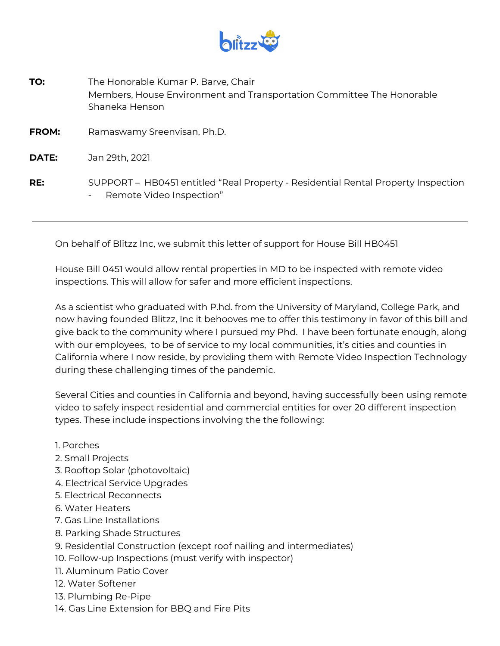

| TO:          | The Honorable Kumar P. Barve, Chair<br>Members, House Environment and Transportation Committee The Honorable<br>Shaneka Henson |
|--------------|--------------------------------------------------------------------------------------------------------------------------------|
| <b>FROM:</b> | Ramaswamy Sreenvisan, Ph.D.                                                                                                    |
| DATE:        | Jan 29th, 2021                                                                                                                 |
| RE:          | SUPPORT – HB0451 entitled "Real Property - Residential Rental Property Inspection<br>Remote Video Inspection"<br>$\sim$        |

On behalf of Blitzz Inc, we submit this letter of support for House Bill HB0451

House Bill 0451 would allow rental properties in MD to be inspected with remote video inspections. This will allow for safer and more efficient inspections.

As a scientist who graduated with P.hd. from the University of Maryland, College Park, and now having founded Blitzz, Inc it behooves me to offer this testimony in favor of this bill and give back to the community where I pursued my Phd. I have been fortunate enough, along with our employees, to be of service to my local communities, it's cities and counties in California where I now reside, by providing them with Remote Video Inspection Technology during these challenging times of the pandemic.

Several Cities and counties in California and beyond, having successfully been using remote video to safely inspect residential and commercial entities for over 20 different inspection types. These include inspections involving the the following:

- 1. Porches
- 2. Small Projects
- 3. Rooftop Solar (photovoltaic)
- 4. Electrical Service Upgrades
- 5. Electrical Reconnects
- 6. Water Heaters
- 7. Gas Line Installations
- 8. Parking Shade Structures
- 9. Residential Construction (except roof nailing and intermediates)
- 10. Follow-up Inspections (must verify with inspector)
- 11. Aluminum Patio Cover
- 12. Water Softener
- 13. Plumbing Re-Pipe
- 14. Gas Line Extension for BBQ and Fire Pits